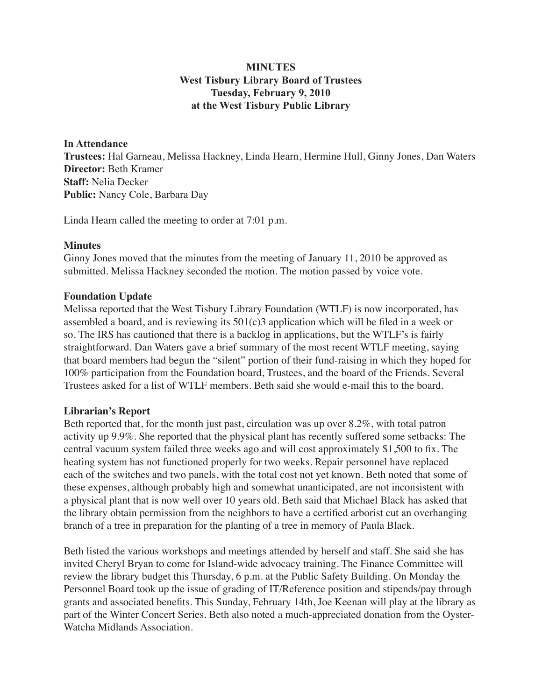# **MINUTES West Tisbury Library Board of Trustees Tuesday, February 9, 2010 at the West Tisbury Public Library**

**In Attendance Trustees:** Hal Garneau, Melissa Hackney, Linda Hearn, Hermine Hull, Ginny Jones, Dan Waters **Director:** Beth Kramer **Staff:** Nelia Decker **Public:** Nancy Cole, Barbara Day

Linda Hearn called the meeting to order at 7:01 p.m.

## **Minutes**

Ginny Jones moved that the minutes from the meeting of January 11, 2010 be approved as submitted. Melissa Hackney seconded the motion. The motion passed by voice vote.

## **Foundation Update**

Melissa reported that the West Tisbury Library Foundation (WTLF) is now incorporated, has assembled a board, and is reviewing its 501(c)3 application which will be filed in a week or so. The IRS has cautioned that there is a backlog in applications, but the WTLF's is fairly straightforward. Dan Waters gave a brief summary of the most recent WTLF meeting, saying that board members had begun the "silent" portion of their fund-raising in which they hoped for 100% participation from the Foundation board, Trustees, and the board of the Friends. Several Trustees asked for a list of WTLF members. Beth said she would e-mail this to the board.

### **Librarian's Report**

Beth reported that, for the month just past, circulation was up over 8.2%, with total patron activity up 9.9%. She reported that the physical plant has recently suffered some setbacks: The central vacuum system failed three weeks ago and will cost approximately \$1,500 to fix. The heating system has not functioned properly for two weeks. Repair personnel have replaced each of the switches and two panels, with the total cost not yet known. Beth noted that some of these expenses, although probably high and somewhat unanticipated, are not inconsistent with a physical plant that is now well over 10 years old. Beth said that Michael Black has asked that the library obtain permission from the neighbors to have a certified arborist cut an overhanging branch of a tree in preparation for the planting of a tree in memory of Paula Black.

Beth listed the various workshops and meetings attended by herself and staff. She said she has invited Cheryl Bryan to come for Island-wide advocacy training. The Finance Committee will review the library budget this Thursday, 6 p.m. at the Public Safety Building. On Monday the Personnel Board took up the issue of grading of IT/Reference position and stipends/pay through grants and associated benefits. This Sunday, February 14th, Joe Keenan will play at the library as part of the Winter Concert Series. Beth also noted a much-appreciated donation from the Oyster-Watcha Midlands Association.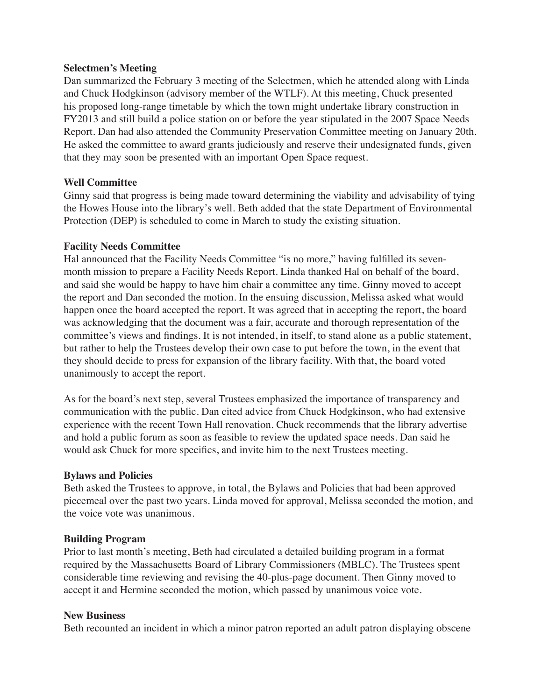### **Selectmen's Meeting**

Dan summarized the February 3 meeting of the Selectmen, which he attended along with Linda and Chuck Hodgkinson (advisory member of the WTLF). At this meeting, Chuck presented his proposed long-range timetable by which the town might undertake library construction in FY2013 and still build a police station on or before the year stipulated in the 2007 Space Needs Report. Dan had also attended the Community Preservation Committee meeting on January 20th. He asked the committee to award grants judiciously and reserve their undesignated funds, given that they may soon be presented with an important Open Space request.

### **Well Committee**

Ginny said that progress is being made toward determining the viability and advisability of tying the Howes House into the library's well. Beth added that the state Department of Environmental Protection (DEP) is scheduled to come in March to study the existing situation.

## **Facility Needs Committee**

Hal announced that the Facility Needs Committee "is no more," having fulfilled its sevenmonth mission to prepare a Facility Needs Report. Linda thanked Hal on behalf of the board, and said she would be happy to have him chair a committee any time. Ginny moved to accept the report and Dan seconded the motion. In the ensuing discussion, Melissa asked what would happen once the board accepted the report. It was agreed that in accepting the report, the board was acknowledging that the document was a fair, accurate and thorough representation of the committee's views and findings. It is not intended, in itself, to stand alone as a public statement, but rather to help the Trustees develop their own case to put before the town, in the event that they should decide to press for expansion of the library facility. With that, the board voted unanimously to accept the report.

As for the board's next step, several Trustees emphasized the importance of transparency and communication with the public. Dan cited advice from Chuck Hodgkinson, who had extensive experience with the recent Town Hall renovation. Chuck recommends that the library advertise and hold a public forum as soon as feasible to review the updated space needs. Dan said he would ask Chuck for more specifics, and invite him to the next Trustees meeting.

### **Bylaws and Policies**

Beth asked the Trustees to approve, in total, the Bylaws and Policies that had been approved piecemeal over the past two years. Linda moved for approval, Melissa seconded the motion, and the voice vote was unanimous.

### **Building Program**

Prior to last month's meeting, Beth had circulated a detailed building program in a format required by the Massachusetts Board of Library Commissioners (MBLC). The Trustees spent considerable time reviewing and revising the 40-plus-page document. Then Ginny moved to accept it and Hermine seconded the motion, which passed by unanimous voice vote.

### **New Business**

Beth recounted an incident in which a minor patron reported an adult patron displaying obscene